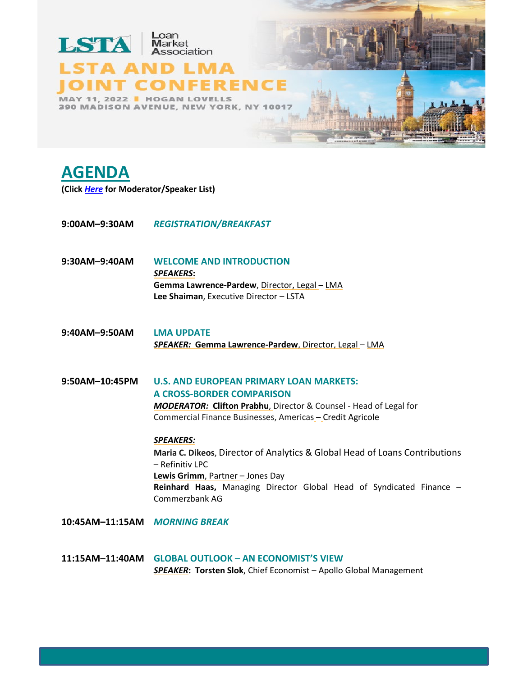

## **AGENDA**

**(Click***[Here](https://www.lsta.org/app/uploads/2022/03/Final-Speaker-Bios_2022-LSTA-LMA-NY-Conf.pdf)* **for Moderator/Speaker List)**

- **9:00AM–9:30AM** *REGISTRATION/BREAKFAST*
- **9:30AM–9:40AM WELCOME AND INTRODUCTION** *SPEAKERS***: Gemma Lawrence-Pardew**, Director, Legal – LMA **Lee Shaiman**, Executive Director – LSTA
- **9:40AM–9:50AM LMA UPDATE** *SPEAKER:* **Gemma Lawrence-Pardew**, Director, Legal – LMA
- **9:50AM–10:45PM U.S. AND EUROPEAN PRIMARY LOAN MARKETS: A CROSS-BORDER COMPARISON** *MODERATOR:* **Clifton Prabhu**, Director & Counsel - Head of Legal for Commercial Finance Businesses, Americas – Credit Agricole

## *SPEAKERS:*

**Maria C. Dikeos**, Director of Analytics & Global Head of Loans Contributions – Refinitiv LPC **Lewis Grimm**, Partner – Jones Day **Reinhard Haas,** Managing Director Global Head of Syndicated Finance – Commerzbank AG

- **10:45AM–11:15AM** *MORNING BREAK*
- **11:15AM–11:40AM GLOBAL OUTLOOK – AN ECONOMIST'S VIEW** *SPEAKER***: Torsten Slok**, Chief Economist – Apollo Global Management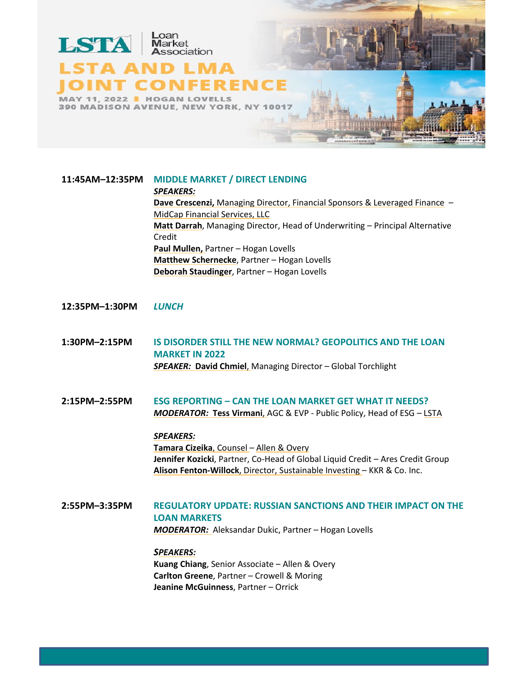

**11:45AM–12:35PM MIDDLE MARKET / DIRECT LENDING** *SPEAKERS:* **Dave Crescenzi,** Managing Director, Financial Sponsors & Leveraged Finance – MidCap Financial Services, LLC **Matt Darrah**, Managing Director, Head of Underwriting – Principal Alternative Credit **Paul Mullen,** Partner – Hogan Lovells **Matthew Schernecke**, Partner – Hogan Lovells **Deborah Staudinger**, Partner – Hogan Lovells

## **12:35PM–1:30PM** *LUNCH*

**1:30PM–2:15PM IS DISORDER STILL THE NEW NORMAL? GEOPOLITICS AND THE LOAN MARKET IN 2022** *SPEAKER:* **David Chmiel**, Managing Director – Global Torchlight

**2:15PM–2:55PM ESG REPORTING – CAN THE LOAN MARKET GET WHAT IT NEEDS?**  *MODERATOR:* **Tess Virmani**, AGC & EVP - Public Policy, Head of ESG – LSTA

*SPEAKERS:*

**Tamara Cizeika**, Counsel – Allen & Overy **Jennifer Kozicki**, Partner, Co-Head of Global Liquid Credit – Ares Credit Group **Alison Fenton-Willock**, Director, Sustainable Investing – KKR & Co. Inc.

**2:55PM–3:35PM REGULATORY UPDATE: RUSSIAN SANCTIONS AND THEIR IMPACT ON THE LOAN MARKETS** *MODERATOR:* [Aleksandar Dukic,](mailto:aleksandar.dukic@hoganlovells) Partner – Hogan Lovells

> *SPEAKERS:* **Kuang Chiang**, Senior Associate – Allen & Overy **Carlton Greene**, Partner – Crowell & Moring **Jeanine McGuinness**, Partner – Orrick